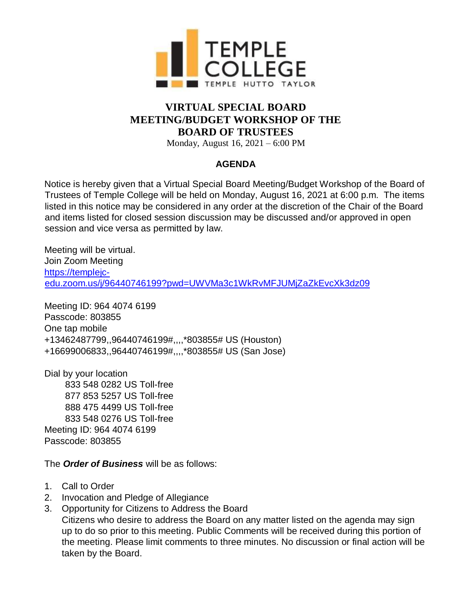

## **VIRTUAL SPECIAL BOARD MEETING/BUDGET WORKSHOP OF THE BOARD OF TRUSTEES**

Monday, August 16, 2021 – 6:00 PM

## **AGENDA**

Notice is hereby given that a Virtual Special Board Meeting/Budget Workshop of the Board of Trustees of Temple College will be held on Monday, August 16, 2021 at 6:00 p.m. The items listed in this notice may be considered in any order at the discretion of the Chair of the Board and items listed for closed session discussion may be discussed and/or approved in open session and vice versa as permitted by law.

Meeting will be virtual. Join Zoom Meeting https://templeic[edu.zoom.us/j/96440746199?pwd=UWVMa3c1WkRvMFJUMjZaZkEvcXk3dz09](https://templejc-edu.zoom.us/j/96440746199?pwd=UWVMa3c1WkRvMFJUMjZaZkEvcXk3dz09)

Meeting ID: 964 4074 6199 Passcode: 803855 One tap mobile +13462487799,,96440746199#,,,,\*803855# US (Houston) +16699006833,,96440746199#,,,,\*803855# US (San Jose)

Dial by your location 833 548 0282 US Toll-free 877 853 5257 US Toll-free 888 475 4499 US Toll-free 833 548 0276 US Toll-free Meeting ID: 964 4074 6199 Passcode: 803855

The *Order of Business* will be as follows:

- 1. Call to Order
- 2. Invocation and Pledge of Allegiance
- 3. Opportunity for Citizens to Address the Board

Citizens who desire to address the Board on any matter listed on the agenda may sign up to do so prior to this meeting. Public Comments will be received during this portion of the meeting. Please limit comments to three minutes. No discussion or final action will be taken by the Board.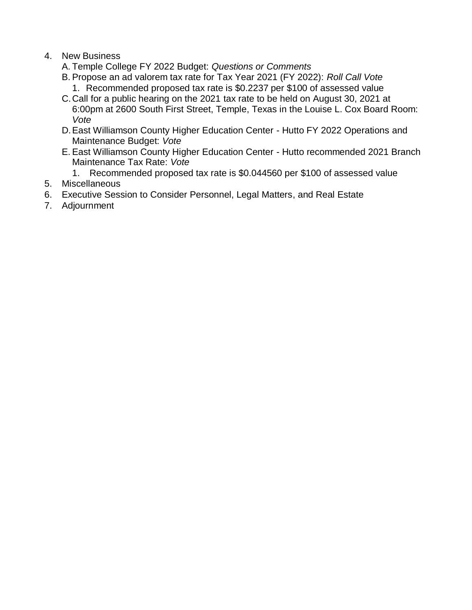- 4. New Business
	- A. Temple College FY 2022 Budget: *Questions or Comments*
	- B. Propose an ad valorem tax rate for Tax Year 2021 (FY 2022): *Roll Call Vote* 1. Recommended proposed tax rate is \$0.2237 per \$100 of assessed value
	- C.Call for a public hearing on the 2021 tax rate to be held on August 30, 2021 at 6:00pm at 2600 South First Street, Temple, Texas in the Louise L. Cox Board Room: *Vote*
	- D.East Williamson County Higher Education Center Hutto FY 2022 Operations and Maintenance Budget: *Vote*
	- E. East Williamson County Higher Education Center Hutto recommended 2021 Branch Maintenance Tax Rate: *Vote*
		- 1. Recommended proposed tax rate is \$0.044560 per \$100 of assessed value
- 5. Miscellaneous
- 6. Executive Session to Consider Personnel, Legal Matters, and Real Estate
- 7. Adjournment